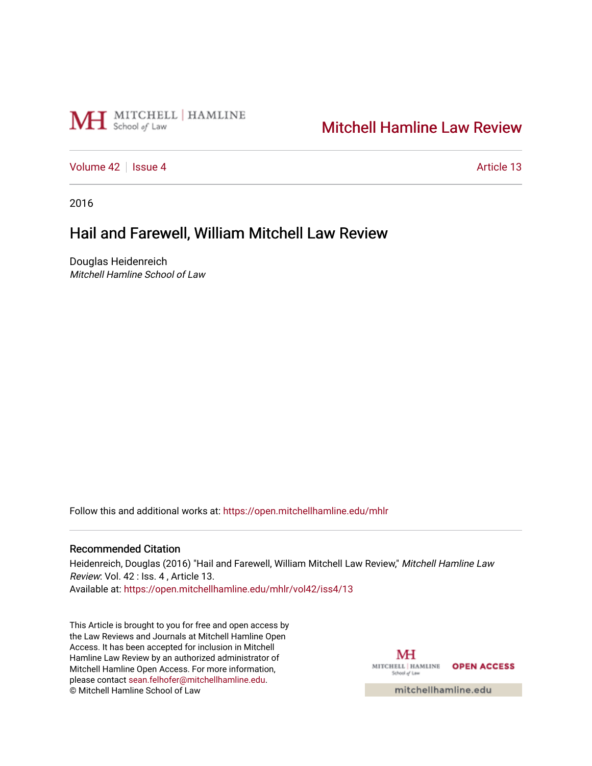

## [Mitchell Hamline Law Review](https://open.mitchellhamline.edu/mhlr)

[Volume 42](https://open.mitchellhamline.edu/mhlr/vol42) | [Issue 4](https://open.mitchellhamline.edu/mhlr/vol42/iss4) Article 13

2016

# Hail and Farewell, William Mitchell Law Review

Douglas Heidenreich Mitchell Hamline School of Law

Follow this and additional works at: [https://open.mitchellhamline.edu/mhlr](https://open.mitchellhamline.edu/mhlr?utm_source=open.mitchellhamline.edu%2Fmhlr%2Fvol42%2Fiss4%2F13&utm_medium=PDF&utm_campaign=PDFCoverPages) 

#### Recommended Citation

Heidenreich, Douglas (2016) "Hail and Farewell, William Mitchell Law Review," Mitchell Hamline Law Review: Vol. 42 : Iss. 4 , Article 13. Available at: [https://open.mitchellhamline.edu/mhlr/vol42/iss4/13](https://open.mitchellhamline.edu/mhlr/vol42/iss4/13?utm_source=open.mitchellhamline.edu%2Fmhlr%2Fvol42%2Fiss4%2F13&utm_medium=PDF&utm_campaign=PDFCoverPages)

This Article is brought to you for free and open access by the Law Reviews and Journals at Mitchell Hamline Open Access. It has been accepted for inclusion in Mitchell Hamline Law Review by an authorized administrator of Mitchell Hamline Open Access. For more information, please contact [sean.felhofer@mitchellhamline.edu.](mailto:sean.felhofer@mitchellhamline.edu) © Mitchell Hamline School of Law

MH MITCHELL | HAMLINE OPEN ACCESS School of Law

mitchellhamline.edu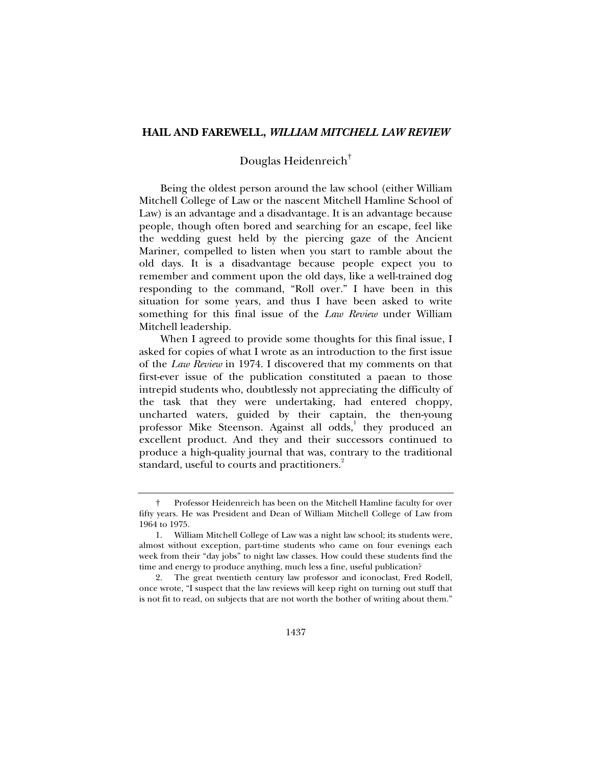#### **HAIL AND FAREWELL,** *WILLIAM MITCHELL LAW REVIEW*

### Douglas Heidenreich†

Being the oldest person around the law school (either William Mitchell College of Law or the nascent Mitchell Hamline School of Law) is an advantage and a disadvantage. It is an advantage because people, though often bored and searching for an escape, feel like the wedding guest held by the piercing gaze of the Ancient Mariner, compelled to listen when you start to ramble about the old days. It is a disadvantage because people expect you to remember and comment upon the old days, like a well-trained dog responding to the command, "Roll over." I have been in this situation for some years, and thus I have been asked to write something for this final issue of the *Law Review* under William Mitchell leadership.

When I agreed to provide some thoughts for this final issue, I asked for copies of what I wrote as an introduction to the first issue of the *Law Review* in 1974. I discovered that my comments on that first-ever issue of the publication constituted a paean to those intrepid students who, doubtlessly not appreciating the difficulty of the task that they were undertaking, had entered choppy, uncharted waters, guided by their captain, the then-young professor Mike Steenson. Against all odds,<sup>1</sup> they produced an excellent product. And they and their successors continued to produce a high-quality journal that was, contrary to the traditional standard, useful to courts and practitioners.<sup>2</sup>

 <sup>†</sup> Professor Heidenreich has been on the Mitchell Hamline faculty for over fifty years. He was President and Dean of William Mitchell College of Law from 1964 to 1975.

 <sup>1.</sup> William Mitchell College of Law was a night law school; its students were, almost without exception, part-time students who came on four evenings each week from their "day jobs" to night law classes. How could these students find the time and energy to produce anything, much less a fine, useful publication?

 <sup>2.</sup> The great twentieth century law professor and iconoclast, Fred Rodell, once wrote, "I suspect that the law reviews will keep right on turning out stuff that is not fit to read, on subjects that are not worth the bother of writing about them."